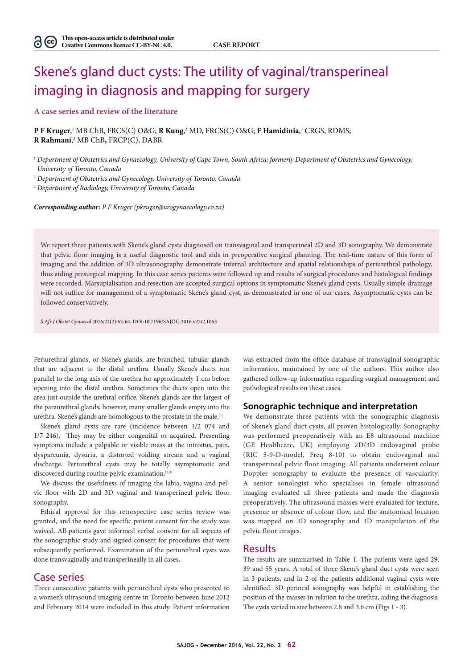# Skene's gland duct cysts: The utility of vaginal/transperineal imaging in diagnosis and mapping for surgery

#### **A case series and review of the literature**

**P F Kruger**, <sup>1</sup> MB ChB, FRCS(C) O&G; **R Kung**, 2 MD, FRCS(C) O&G; **F Hamidinia**, <sup>3</sup> CRGS, RDMS; **R Rahmani**, 3 MB ChB**,** FRCP(C), DABR

<sup>1</sup> *Department of Obstetrics and Gynaecology, University of Cape Town, South Africa; formerly Department of Obstetrics and Gynecology, University of Toronto, Canada*

2  *Department of Obstetrics and Gynecology, University of Toronto, Canada*

3  *Department of Radiology, University of Toronto, Canada*

*Corresponding author: P F Kruger (pkruger@urogynaecology.co.za)*

We report three patients with Skene's gland cysts diagnosed on transvaginal and transperineal 2D and 3D sonography. We demonstrate that pelvic floor imaging is a useful diagnostic tool and aids in preoperative surgical planning. The real-time nature of this form of imaging and the addition of 3D ultrasonography demonstrate internal architecture and spatial relationships of periurethral pathology, thus aiding presurgical mapping. In this case series patients were followed up and results of surgical procedures and histological findings were recorded. Marsupialisation and resection are accepted surgical options in symptomatic Skene's gland cysts. Usually simple drainage will not suffice for management of a symptomatic Skene's gland cyst, as demonstrated in one of our cases. Asymptomatic cysts can be followed conservatively.

*S Afr J Obstet Gynaecol* 2016;22(2):62-64. DOI:10.7196/SAJOG.2016.v22i2.1063

Periurethral glands, or Skene's glands, are branched, tubular glands that are adjacent to the distal urethra. Usually Skene's ducts run parallel to the long axis of the urethra for approximately 1 cm before opening into the distal urethra. Sometimes the ducts open into the area just outside the urethral orifice. Skene's glands are the largest of the paraurethral glands; however, many smaller glands empty into the urethra. Skene's glands are homologous to the prostate in the male.<sup>[1]</sup>

Skene's gland cysts are rare (incidence between 1/2 074 and 1/7 246). They may be either congenital or acquired. Presenting symptoms include a palpable or visible mass at the introitus, pain, dyspareunia, dysuria, a distorted voiding stream and a vaginal discharge. Periurethral cysts may be totally asymptomatic and discovered during routine pelvic examination.<sup>[2,3]</sup>

We discuss the usefulness of imaging the labia, vagina and pelvic floor with 2D and 3D vaginal and transperineal pelvic floor sonography.

Ethical approval for this retrospective case series review was granted, and the need for specific patient consent for the study was waived. All patients gave informed verbal consent for all aspects of the sonographic study and signed consent for procedures that were subsequently performed. Examination of the periurethral cysts was done transvaginally and transperineally in all cases.

## Case series

Three consecutive patients with periurethral cysts who presented to a women's ultrasound imaging centre in Toronto between June 2012 and February 2014 were included in this study. Patient information

was extracted from the office database of transvaginal sonographic information, maintained by one of the authors. This author also gathered follow-up information regarding surgical management and pathological results on these cases.

### **Sonographic technique and interpretation**

We demonstrate three patients with the sonographic diagnosis of Skene's gland duct cysts, all proven histologically. Sonography was performed preoperatively with an E8 ultrasound machine (GE Healthcare, UK) employing 2D/3D endovaginal probe (RIC 5-9-D-model, Freq 8-10) to obtain endovaginal and transperineal pelvic floor imaging. All patients underwent colour Doppler sonography to evaluate the presence of vascularity. A senior sonologist who specialises in female ultrasound imaging evaluated all three patients and made the diagnosis preoperatively. The ultrasound masses were evaluated for texture, presence or absence of colour flow, and the anatomical location was mapped on 3D sonography and 3D manipulation of the pelvic floor images.

#### Results

The results are summarised in Table 1. The patients were aged 29, 39 and 55 years. A total of three Skene's gland duct cysts were seen in 3 patients, and in 2 of the patients additional vaginal cysts were identified. 3D perineal sonography was helpful in establishing the position of the masses in relation to the urethra, aiding the diagnosis. The cysts varied in size between 2.8 and 3.6 cm (Figs 1 - 3).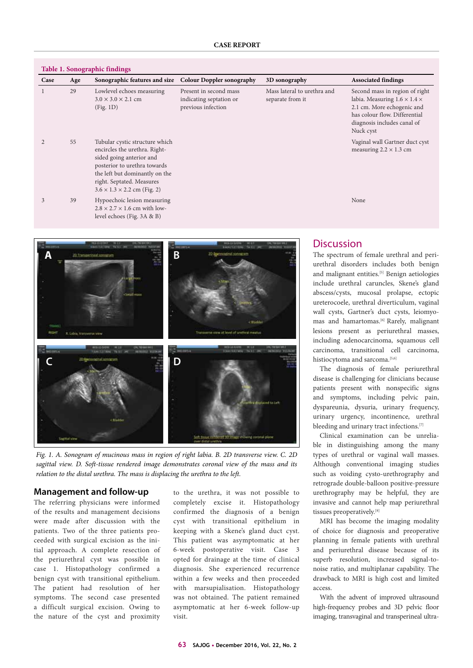| Table 1. Sonographic findings |     |                                                                                                                                                                                                                                       |                                                                         |                                                 |                                                                                                                                                                                       |
|-------------------------------|-----|---------------------------------------------------------------------------------------------------------------------------------------------------------------------------------------------------------------------------------------|-------------------------------------------------------------------------|-------------------------------------------------|---------------------------------------------------------------------------------------------------------------------------------------------------------------------------------------|
| Case                          | Age | Sonographic features and size                                                                                                                                                                                                         | <b>Colour Doppler sonography</b>                                        | 3D sonography                                   | <b>Associated findings</b>                                                                                                                                                            |
|                               | 29  | Lowlevel echoes measuring<br>$3.0 \times 3.0 \times 2.1$ cm<br>(Fig. 1D)                                                                                                                                                              | Present in second mass<br>indicating septation or<br>previous infection | Mass lateral to urethra and<br>separate from it | Second mass in region of right<br>labia. Measuring $1.6 \times 1.4 \times$<br>2.1 cm. More echogenic and<br>has colour flow. Differential<br>diagnosis includes canal of<br>Nuck cyst |
|                               | 55  | Tubular cystic structure which<br>encircles the urethra. Right-<br>sided going anterior and<br>posterior to urethra towards<br>the left but dominantly on the<br>right. Septated. Measures<br>$3.6 \times 1.3 \times 2.2$ cm (Fig. 2) |                                                                         |                                                 | Vaginal wall Gartner duct cyst<br>measuring $2.2 \times 1.3$ cm                                                                                                                       |
| 3                             | 39  | Hypoechoic lesion measuring<br>$2.8 \times 2.7 \times 1.6$ cm with low-<br>level echoes (Fig. 3A & B)                                                                                                                                 |                                                                         |                                                 | None                                                                                                                                                                                  |



*Fig. 1. A. Sonogram of mucinous mass in region of right labia. B. 2D transverse view. C. 2D sagittal view. D. Soft-tissue rendered image demonstrates coronal view of the mass and its relation to the distal urethra. The mass is displacing the urethra to the left.*

#### **Management and follow-up**

The referring physicians were informed of the results and management decisions were made after discussion with the patients. Two of the three patients proceeded with surgical excision as the initial approach. A complete resection of the periurethral cyst was possible in case 1. Histopathology confirmed a benign cyst with transitional epithelium. The patient had resolution of her symptoms. The second case presented a difficult surgical excision. Owing to the nature of the cyst and proximity

to the urethra, it was not possible to completely excise it. Histopathology confirmed the diagnosis of a benign cyst with transitional epithelium in keeping with a Skene's gland duct cyst. This patient was asymptomatic at her 6-week postoperative visit. Case 3 opted for drainage at the time of clinical diagnosis. She experienced recurrence within a few weeks and then proceeded with marsupialisation. Histopathology was not obtained. The patient remained asymptomatic at her 6-week follow-up visit.

## **Discussion**

The spectrum of female urethral and periurethral disorders includes both benign and malignant entities.[5] Benign aetiologies include urethral caruncles, Skene's gland abscess/cysts, mucosal prolapse, ectopic ureterocoele, urethral diverticulum, vaginal wall cysts, Gartner's duct cysts, leiomyomas and hamartomas.<sup>[6]</sup> Rarely, malignant lesions present as periurethral masses, including adenocarcinoma, squamous cell carcinoma, transitional cell carcinoma, histiocytoma and sarcoma.<sup>[5,6]</sup>

The diagnosis of female periurethral disease is challenging for clinicians because patients present with nonspecific signs and symptoms, including pelvic pain, dyspareunia, dysuria, urinary frequency, urinary urgency, incontinence, urethral bleeding and urinary tract infections.<sup>[7]</sup>

Clinical examination can be unreliable in distinguishing among the many types of urethral or vaginal wall masses. Although conventional imaging studies such as voiding cysto-urethrography and retrograde double-balloon positive-pressure urethrography may be helpful, they are invasive and cannot help map periurethral tissues preoperatively.<sup>[8]</sup>

MRI has become the imaging modality of choice for diagnosis and preoperative planning in female patients with urethral and periurethral disease because of its superb resolution, increased signal-tonoise ratio, and multiplanar capability. The drawback to MRI is high cost and limited access.

With the advent of improved ultrasound high-frequency probes and 3D pelvic floor imaging, transvaginal and transperineal ultra-